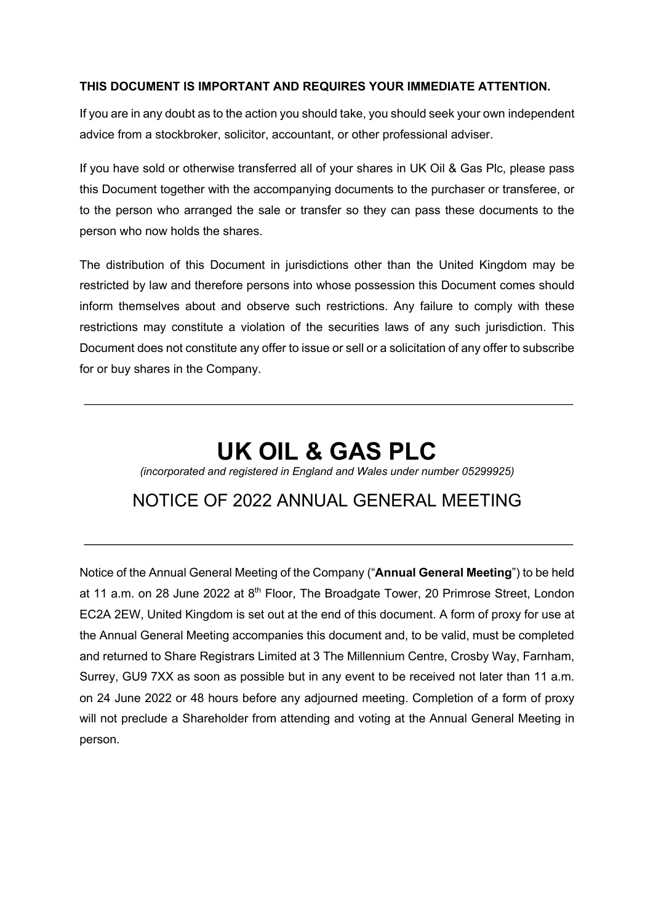# **THIS DOCUMENT IS IMPORTANT AND REQUIRES YOUR IMMEDIATE ATTENTION.**

If you are in any doubt as to the action you should take, you should seek your own independent advice from a stockbroker, solicitor, accountant, or other professional adviser.

If you have sold or otherwise transferred all of your shares in UK Oil & Gas Plc, please pass this Document together with the accompanying documents to the purchaser or transferee, or to the person who arranged the sale or transfer so they can pass these documents to the person who now holds the shares.

The distribution of this Document in jurisdictions other than the United Kingdom may be restricted by law and therefore persons into whose possession this Document comes should inform themselves about and observe such restrictions. Any failure to comply with these restrictions may constitute a violation of the securities laws of any such jurisdiction. This Document does not constitute any offer to issue or sell or a solicitation of any offer to subscribe for or buy shares in the Company.

# **UK OIL & GAS PLC**

*(incorporated and registered in England and Wales under number 05299925)*

# NOTICE OF 2022 ANNUAL GENERAL MEETING

Notice of the Annual General Meeting of the Company ("**Annual General Meeting**") to be held at 11 a.m. on 28 June 2022 at  $8<sup>th</sup>$  Floor, The Broadgate Tower, 20 Primrose Street, London EC2A 2EW, United Kingdom is set out at the end of this document. A form of proxy for use at the Annual General Meeting accompanies this document and, to be valid, must be completed and returned to Share Registrars Limited at 3 The Millennium Centre, Crosby Way, Farnham, Surrey, GU9 7XX as soon as possible but in any event to be received not later than 11 a.m. on 24 June 2022 or 48 hours before any adjourned meeting. Completion of a form of proxy will not preclude a Shareholder from attending and voting at the Annual General Meeting in person.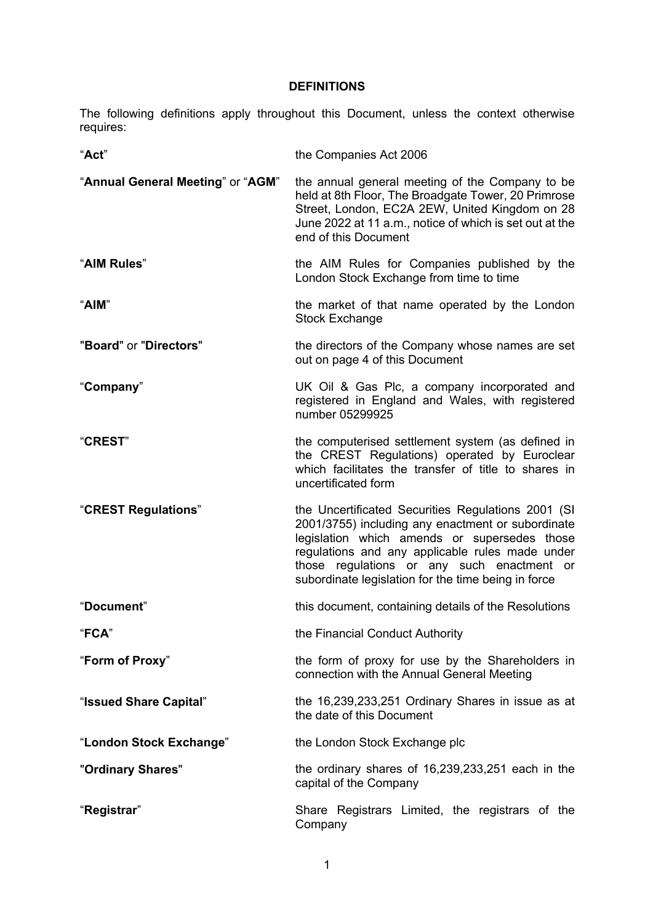# **DEFINITIONS**

The following definitions apply throughout this Document, unless the context otherwise requires:

| "Act"                             | the Companies Act 2006                                                                                                                                                                                                                                                                                          |
|-----------------------------------|-----------------------------------------------------------------------------------------------------------------------------------------------------------------------------------------------------------------------------------------------------------------------------------------------------------------|
| "Annual General Meeting" or "AGM" | the annual general meeting of the Company to be<br>held at 8th Floor, The Broadgate Tower, 20 Primrose<br>Street, London, EC2A 2EW, United Kingdom on 28<br>June 2022 at 11 a.m., notice of which is set out at the<br>end of this Document                                                                     |
| "AIM Rules"                       | the AIM Rules for Companies published by the<br>London Stock Exchange from time to time                                                                                                                                                                                                                         |
| "AIM"                             | the market of that name operated by the London<br><b>Stock Exchange</b>                                                                                                                                                                                                                                         |
| "Board" or "Directors"            | the directors of the Company whose names are set<br>out on page 4 of this Document                                                                                                                                                                                                                              |
| "Company"                         | UK Oil & Gas Plc, a company incorporated and<br>registered in England and Wales, with registered<br>number 05299925                                                                                                                                                                                             |
| "CREST"                           | the computerised settlement system (as defined in<br>the CREST Regulations) operated by Euroclear<br>which facilitates the transfer of title to shares in<br>uncertificated form                                                                                                                                |
| "CREST Regulations"               | the Uncertificated Securities Regulations 2001 (SI<br>2001/3755) including any enactment or subordinate<br>legislation which amends or supersedes those<br>regulations and any applicable rules made under<br>those regulations or any such enactment or<br>subordinate legislation for the time being in force |
| "Document"                        | this document, containing details of the Resolutions                                                                                                                                                                                                                                                            |
| "FCA"                             | the Financial Conduct Authority                                                                                                                                                                                                                                                                                 |
| "Form of Proxy"                   | the form of proxy for use by the Shareholders in<br>connection with the Annual General Meeting                                                                                                                                                                                                                  |
| "Issued Share Capital"            | the 16,239,233,251 Ordinary Shares in issue as at<br>the date of this Document                                                                                                                                                                                                                                  |
| "London Stock Exchange"           | the London Stock Exchange plc                                                                                                                                                                                                                                                                                   |
| "Ordinary Shares"                 | the ordinary shares of 16,239,233,251 each in the<br>capital of the Company                                                                                                                                                                                                                                     |
| "Registrar"                       | Share Registrars Limited, the registrars of the<br>Company                                                                                                                                                                                                                                                      |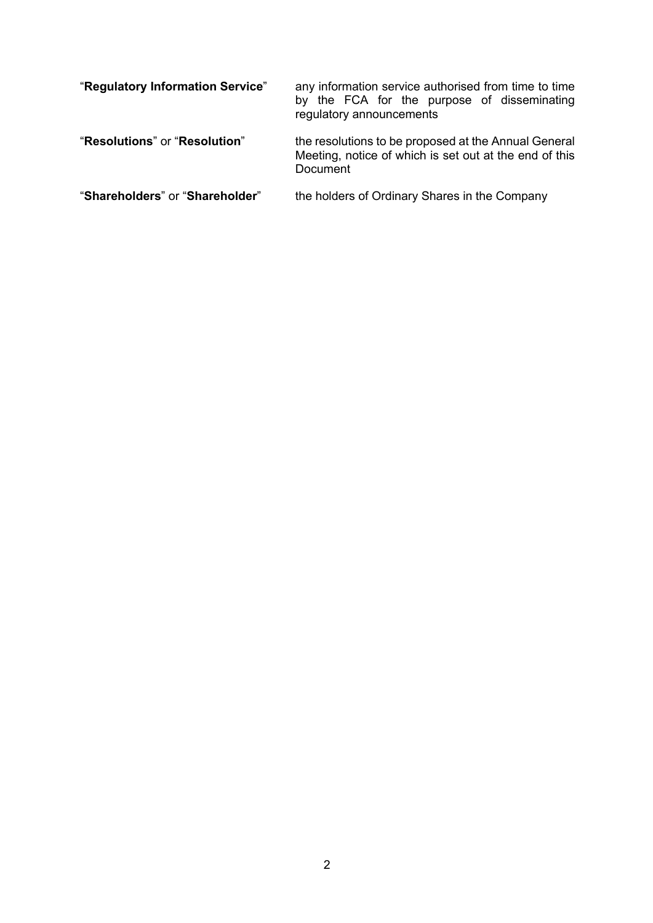| "Regulatory Information Service" | any information service authorised from time to time<br>by the FCA for the purpose of disseminating<br>regulatory announcements |  |
|----------------------------------|---------------------------------------------------------------------------------------------------------------------------------|--|
| "Resolutions" or "Resolution"    | the resolutions to be proposed at the Annual General<br>Meeting, notice of which is set out at the end of this<br>Document      |  |
| "Shareholders" or "Shareholder"  | the holders of Ordinary Shares in the Company                                                                                   |  |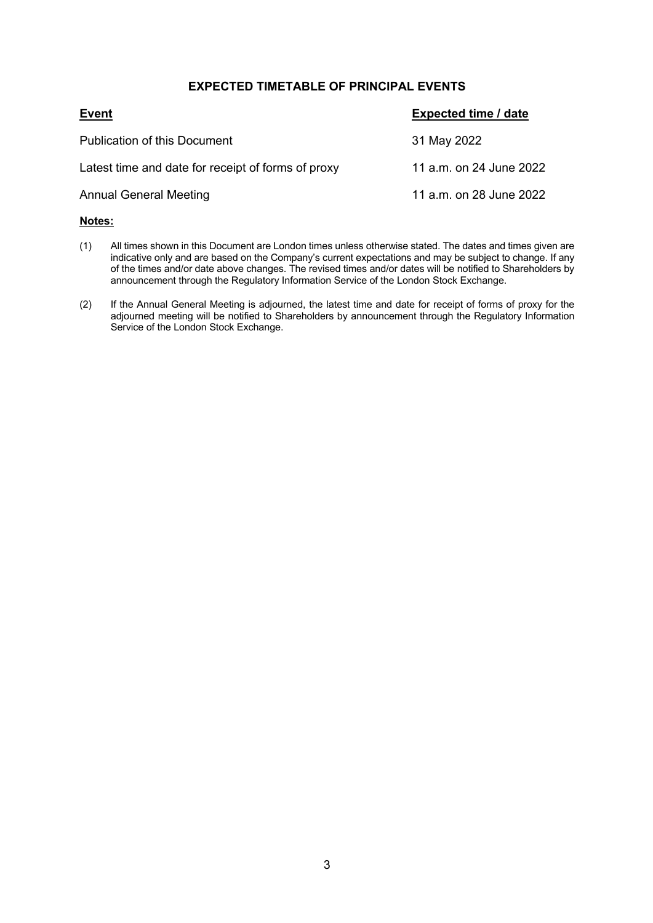# **EXPECTED TIMETABLE OF PRINCIPAL EVENTS**

| <b>Event</b>                                       | <b>Expected time / date</b> |
|----------------------------------------------------|-----------------------------|
| Publication of this Document                       | 31 May 2022                 |
| Latest time and date for receipt of forms of proxy | 11 a.m. on 24 June 2022     |
| <b>Annual General Meeting</b>                      | 11 a.m. on 28 June 2022     |

#### **Notes:**

- (1) All times shown in this Document are London times unless otherwise stated. The dates and times given are indicative only and are based on the Company's current expectations and may be subject to change. If any of the times and/or date above changes. The revised times and/or dates will be notified to Shareholders by announcement through the Regulatory Information Service of the London Stock Exchange.
- (2) If the Annual General Meeting is adjourned, the latest time and date for receipt of forms of proxy for the adjourned meeting will be notified to Shareholders by announcement through the Regulatory Information Service of the London Stock Exchange.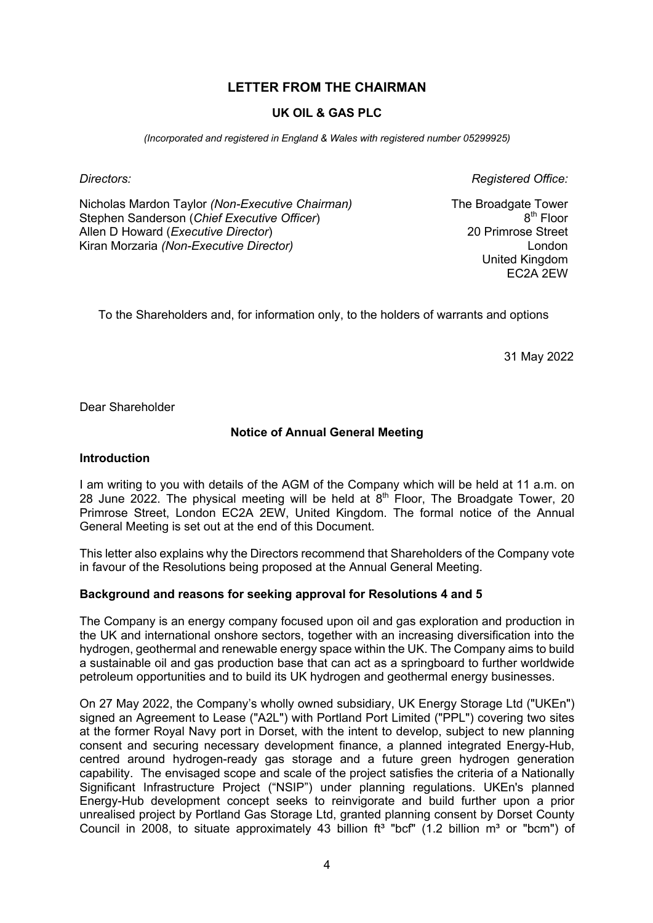# **LETTER FROM THE CHAIRMAN**

# **UK OIL & GAS PLC**

*(Incorporated and registered in England & Wales with registered number 05299925)*

Nicholas Mardon Taylor *(Non-Executive Chairman)* Stephen Sanderson (*Chief Executive Officer*) Allen D Howard (*Executive Director*) Kiran Morzaria *(Non-Executive Director)*

*Directors: Registered Office:*

The Broadgate Tower 8<sup>th</sup> Floor 20 Primrose Street London United Kingdom EC2A 2EW

To the Shareholders and, for information only, to the holders of warrants and options

31 May 2022

Dear Shareholder

# **Notice of Annual General Meeting**

#### **Introduction**

I am writing to you with details of the AGM of the Company which will be held at 11 a.m. on 28 June 2022. The physical meeting will be held at  $8<sup>th</sup>$  Floor, The Broadgate Tower, 20 Primrose Street, London EC2A 2EW, United Kingdom. The formal notice of the Annual General Meeting is set out at the end of this Document.

This letter also explains why the Directors recommend that Shareholders of the Company vote in favour of the Resolutions being proposed at the Annual General Meeting.

#### **Background and reasons for seeking approval for Resolutions 4 and 5**

The Company is an energy company focused upon oil and gas exploration and production in the UK and international onshore sectors, together with an increasing diversification into the hydrogen, geothermal and renewable energy space within the UK. The Company aims to build a sustainable oil and gas production base that can act as a springboard to further worldwide petroleum opportunities and to build its UK hydrogen and geothermal energy businesses.

On 27 May 2022, the Company's wholly owned subsidiary, UK Energy Storage Ltd ("UKEn") signed an Agreement to Lease ("A2L") with Portland Port Limited ("PPL") covering two sites at the former Royal Navy port in Dorset, with the intent to develop, subject to new planning consent and securing necessary development finance, a planned integrated Energy-Hub, centred around hydrogen-ready gas storage and a future green hydrogen generation capability. The envisaged scope and scale of the project satisfies the criteria of a Nationally Significant Infrastructure Project ("NSIP") under planning regulations. UKEn's planned Energy-Hub development concept seeks to reinvigorate and build further upon a prior unrealised project by Portland Gas Storage Ltd, granted planning consent by Dorset County Council in 2008, to situate approximately 43 billion  $ft^3$  "bcf" (1.2 billion  $m^3$  or "bcm") of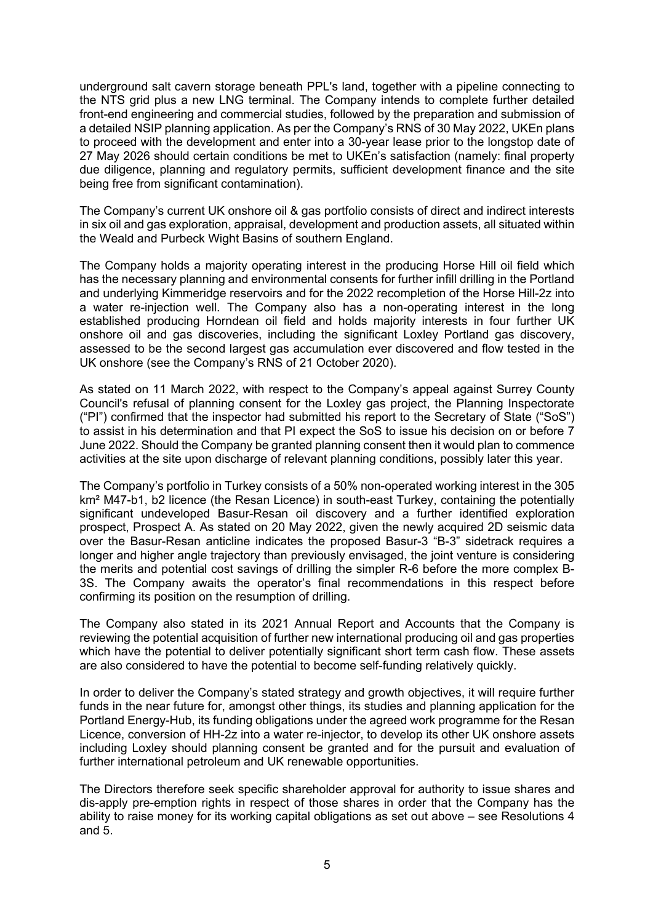underground salt cavern storage beneath PPL's land, together with a pipeline connecting to the NTS grid plus a new LNG terminal. The Company intends to complete further detailed front-end engineering and commercial studies, followed by the preparation and submission of a detailed NSIP planning application. As per the Company's RNS of 30 May 2022, UKEn plans to proceed with the development and enter into a 30-year lease prior to the longstop date of 27 May 2026 should certain conditions be met to UKEn's satisfaction (namely: final property due diligence, planning and regulatory permits, sufficient development finance and the site being free from significant contamination).

The Company's current UK onshore oil & gas portfolio consists of direct and indirect interests in six oil and gas exploration, appraisal, development and production assets, all situated within the Weald and Purbeck Wight Basins of southern England.

The Company holds a majority operating interest in the producing Horse Hill oil field which has the necessary planning and environmental consents for further infill drilling in the Portland and underlying Kimmeridge reservoirs and for the 2022 recompletion of the Horse Hill-2z into a water re-injection well. The Company also has a non-operating interest in the long established producing Horndean oil field and holds majority interests in four further UK onshore oil and gas discoveries, including the significant Loxley Portland gas discovery, assessed to be the second largest gas accumulation ever discovered and flow tested in the UK onshore (see the Company's RNS of 21 October 2020).

As stated on 11 March 2022, with respect to the Company's appeal against Surrey County Council's refusal of planning consent for the Loxley gas project, the Planning Inspectorate ("PI") confirmed that the inspector had submitted his report to the Secretary of State ("SoS") to assist in his determination and that PI expect the SoS to issue his decision on or before 7 June 2022. Should the Company be granted planning consent then it would plan to commence activities at the site upon discharge of relevant planning conditions, possibly later this year.

The Company's portfolio in Turkey consists of a 50% non-operated working interest in the 305 km<sup>2</sup> M47-b1, b2 licence (the Resan Licence) in south-east Turkey, containing the potentially significant undeveloped Basur-Resan oil discovery and a further identified exploration prospect, Prospect A. As stated on 20 May 2022, given the newly acquired 2D seismic data over the Basur-Resan anticline indicates the proposed Basur-3 "B-3" sidetrack requires a longer and higher angle trajectory than previously envisaged, the joint venture is considering the merits and potential cost savings of drilling the simpler R-6 before the more complex B-3S. The Company awaits the operator's final recommendations in this respect before confirming its position on the resumption of drilling.

The Company also stated in its 2021 Annual Report and Accounts that the Company is reviewing the potential acquisition of further new international producing oil and gas properties which have the potential to deliver potentially significant short term cash flow. These assets are also considered to have the potential to become self-funding relatively quickly.

In order to deliver the Company's stated strategy and growth objectives, it will require further funds in the near future for, amongst other things, its studies and planning application for the Portland Energy-Hub, its funding obligations under the agreed work programme for the Resan Licence, conversion of HH-2z into a water re-injector, to develop its other UK onshore assets including Loxley should planning consent be granted and for the pursuit and evaluation of further international petroleum and UK renewable opportunities.

The Directors therefore seek specific shareholder approval for authority to issue shares and dis-apply pre-emption rights in respect of those shares in order that the Company has the ability to raise money for its working capital obligations as set out above – see Resolutions 4 and 5.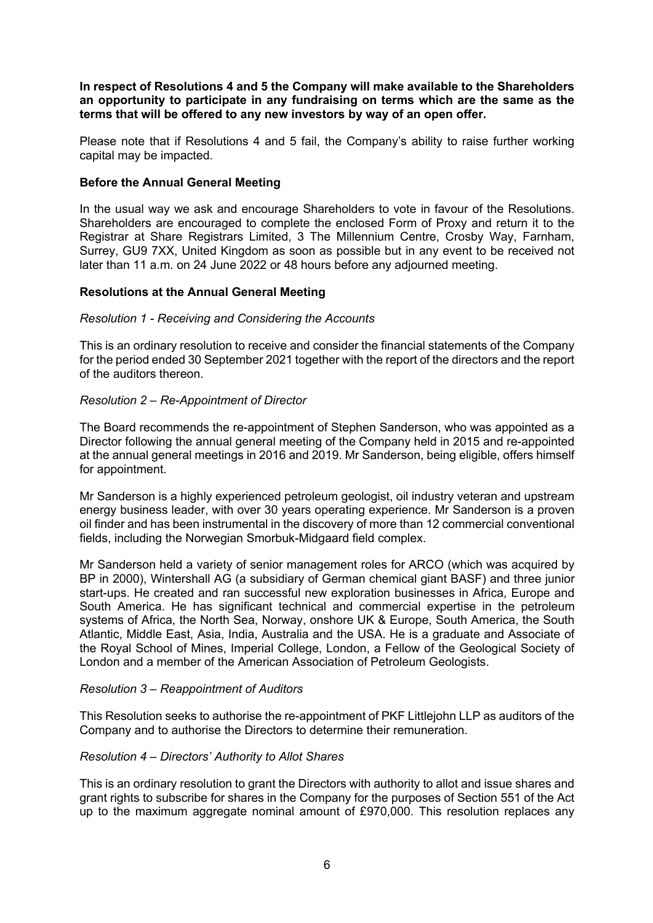**In respect of Resolutions 4 and 5 the Company will make available to the Shareholders an opportunity to participate in any fundraising on terms which are the same as the terms that will be offered to any new investors by way of an open offer.** 

Please note that if Resolutions 4 and 5 fail, the Company's ability to raise further working capital may be impacted.

#### **Before the Annual General Meeting**

In the usual way we ask and encourage Shareholders to vote in favour of the Resolutions. Shareholders are encouraged to complete the enclosed Form of Proxy and return it to the Registrar at Share Registrars Limited, 3 The Millennium Centre, Crosby Way, Farnham, Surrey, GU9 7XX, United Kingdom as soon as possible but in any event to be received not later than 11 a.m. on 24 June 2022 or 48 hours before any adjourned meeting.

# **Resolutions at the Annual General Meeting**

#### *Resolution 1 - Receiving and Considering the Accounts*

This is an ordinary resolution to receive and consider the financial statements of the Company for the period ended 30 September 2021 together with the report of the directors and the report of the auditors thereon.

# *Resolution 2 – Re-Appointment of Director*

The Board recommends the re-appointment of Stephen Sanderson, who was appointed as a Director following the annual general meeting of the Company held in 2015 and re-appointed at the annual general meetings in 2016 and 2019. Mr Sanderson, being eligible, offers himself for appointment.

Mr Sanderson is a highly experienced petroleum geologist, oil industry veteran and upstream energy business leader, with over 30 years operating experience. Mr Sanderson is a proven oil finder and has been instrumental in the discovery of more than 12 commercial conventional fields, including the Norwegian Smorbuk-Midgaard field complex.

Mr Sanderson held a variety of senior management roles for ARCO (which was acquired by BP in 2000), Wintershall AG (a subsidiary of German chemical giant BASF) and three junior start-ups. He created and ran successful new exploration businesses in Africa, Europe and South America. He has significant technical and commercial expertise in the petroleum systems of Africa, the North Sea, Norway, onshore UK & Europe, South America, the South Atlantic, Middle East, Asia, India, Australia and the USA. He is a graduate and Associate of the Royal School of Mines, Imperial College, London, a Fellow of the Geological Society of London and a member of the American Association of Petroleum Geologists.

#### *Resolution 3 – Reappointment of Auditors*

This Resolution seeks to authorise the re-appointment of PKF Littlejohn LLP as auditors of the Company and to authorise the Directors to determine their remuneration.

#### *Resolution 4 – Directors' Authority to Allot Shares*

This is an ordinary resolution to grant the Directors with authority to allot and issue shares and grant rights to subscribe for shares in the Company for the purposes of Section 551 of the Act up to the maximum aggregate nominal amount of £970,000. This resolution replaces any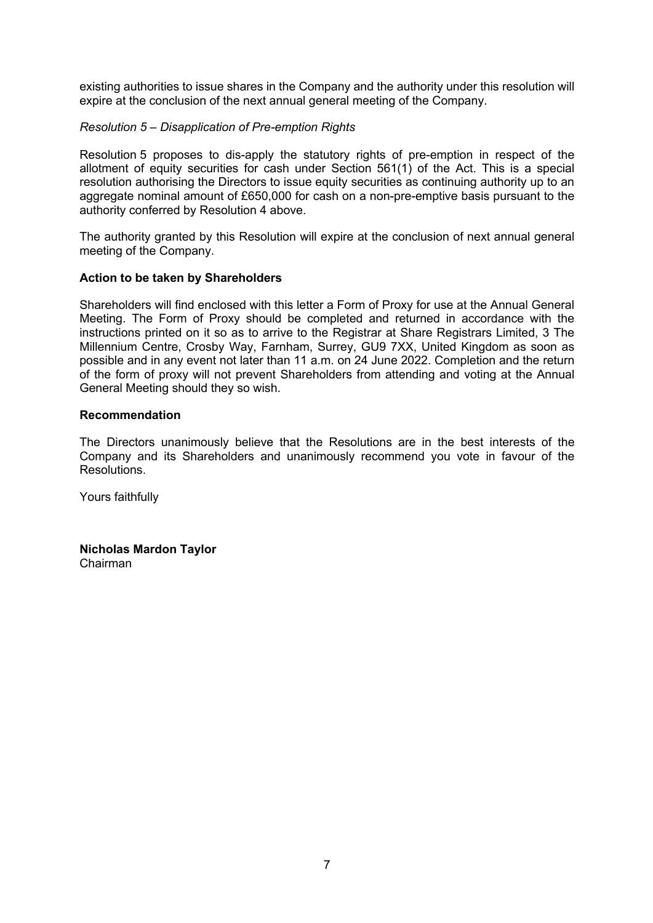existing authorities to issue shares in the Company and the authority under this resolution will expire at the conclusion of the next annual general meeting of the Company.

# *Resolution 5 – Disapplication of Pre-emption Rights*

Resolution 5 proposes to dis-apply the statutory rights of pre-emption in respect of the allotment of equity securities for cash under Section 561(1) of the Act. This is a special resolution authorising the Directors to issue equity securities as continuing authority up to an aggregate nominal amount of £650,000 for cash on a non-pre-emptive basis pursuant to the authority conferred by Resolution 4 above.

The authority granted by this Resolution will expire at the conclusion of next annual general meeting of the Company.

# **Action to be taken by Shareholders**

Shareholders will find enclosed with this letter a Form of Proxy for use at the Annual General Meeting. The Form of Proxy should be completed and returned in accordance with the instructions printed on it so as to arrive to the Registrar at Share Registrars Limited, 3 The Millennium Centre, Crosby Way, Farnham, Surrey, GU9 7XX, United Kingdom as soon as possible and in any event not later than 11 a.m. on 24 June 2022. Completion and the return of the form of proxy will not prevent Shareholders from attending and voting at the Annual General Meeting should they so wish.

#### **Recommendation**

The Directors unanimously believe that the Resolutions are in the best interests of the Company and its Shareholders and unanimously recommend you vote in favour of the Resolutions.

Yours faithfully

**Nicholas Mardon Taylor** Chairman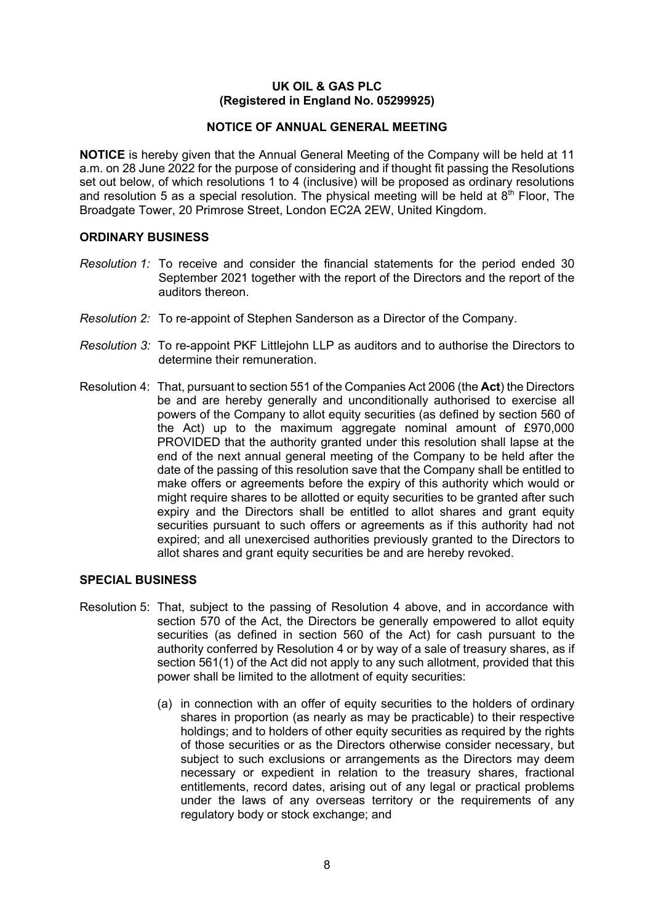# **UK OIL & GAS PLC (Registered in England No. 05299925)**

# **NOTICE OF ANNUAL GENERAL MEETING**

**NOTICE** is hereby given that the Annual General Meeting of the Company will be held at 11 a.m. on 28 June 2022 for the purpose of considering and if thought fit passing the Resolutions set out below, of which resolutions 1 to 4 (inclusive) will be proposed as ordinary resolutions and resolution 5 as a special resolution. The physical meeting will be held at  $8<sup>th</sup>$  Floor, The Broadgate Tower, 20 Primrose Street, London EC2A 2EW, United Kingdom.

# **ORDINARY BUSINESS**

- *Resolution 1:* To receive and consider the financial statements for the period ended 30 September 2021 together with the report of the Directors and the report of the auditors thereon.
- *Resolution 2:* To re-appoint of Stephen Sanderson as a Director of the Company.
- *Resolution 3:* To re-appoint PKF Littlejohn LLP as auditors and to authorise the Directors to determine their remuneration.
- Resolution 4: That, pursuant to section 551 of the Companies Act 2006 (the **Act**) the Directors be and are hereby generally and unconditionally authorised to exercise all powers of the Company to allot equity securities (as defined by section 560 of the Act) up to the maximum aggregate nominal amount of £970,000 PROVIDED that the authority granted under this resolution shall lapse at the end of the next annual general meeting of the Company to be held after the date of the passing of this resolution save that the Company shall be entitled to make offers or agreements before the expiry of this authority which would or might require shares to be allotted or equity securities to be granted after such expiry and the Directors shall be entitled to allot shares and grant equity securities pursuant to such offers or agreements as if this authority had not expired; and all unexercised authorities previously granted to the Directors to allot shares and grant equity securities be and are hereby revoked.

#### **SPECIAL BUSINESS**

- Resolution 5: That, subject to the passing of Resolution 4 above, and in accordance with section 570 of the Act, the Directors be generally empowered to allot equity securities (as defined in section 560 of the Act) for cash pursuant to the authority conferred by Resolution 4 or by way of a sale of treasury shares, as if section 561(1) of the Act did not apply to any such allotment, provided that this power shall be limited to the allotment of equity securities:
	- (a) in connection with an offer of equity securities to the holders of ordinary shares in proportion (as nearly as may be practicable) to their respective holdings; and to holders of other equity securities as required by the rights of those securities or as the Directors otherwise consider necessary, but subject to such exclusions or arrangements as the Directors may deem necessary or expedient in relation to the treasury shares, fractional entitlements, record dates, arising out of any legal or practical problems under the laws of any overseas territory or the requirements of any regulatory body or stock exchange; and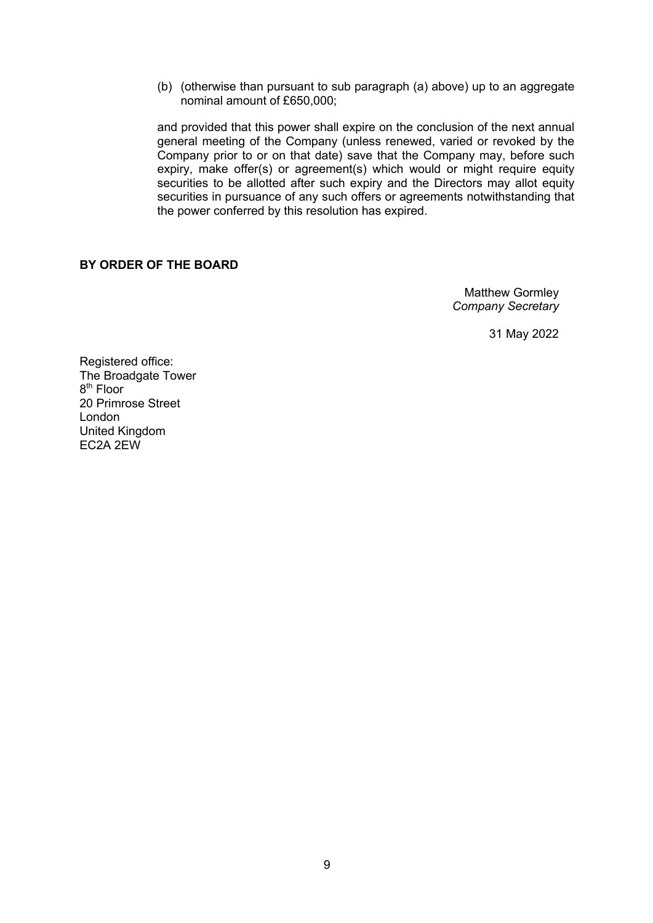(b) (otherwise than pursuant to sub paragraph (a) above) up to an aggregate nominal amount of £650,000;

and provided that this power shall expire on the conclusion of the next annual general meeting of the Company (unless renewed, varied or revoked by the Company prior to or on that date) save that the Company may, before such expiry, make offer(s) or agreement(s) which would or might require equity securities to be allotted after such expiry and the Directors may allot equity securities in pursuance of any such offers or agreements notwithstanding that the power conferred by this resolution has expired.

# **BY ORDER OF THE BOARD**

Matthew Gormley *Company Secretary* 

31 May 2022

Registered office: The Broadgate Tower 8<sup>th</sup> Floor 20 Primrose Street London United Kingdom EC2A 2EW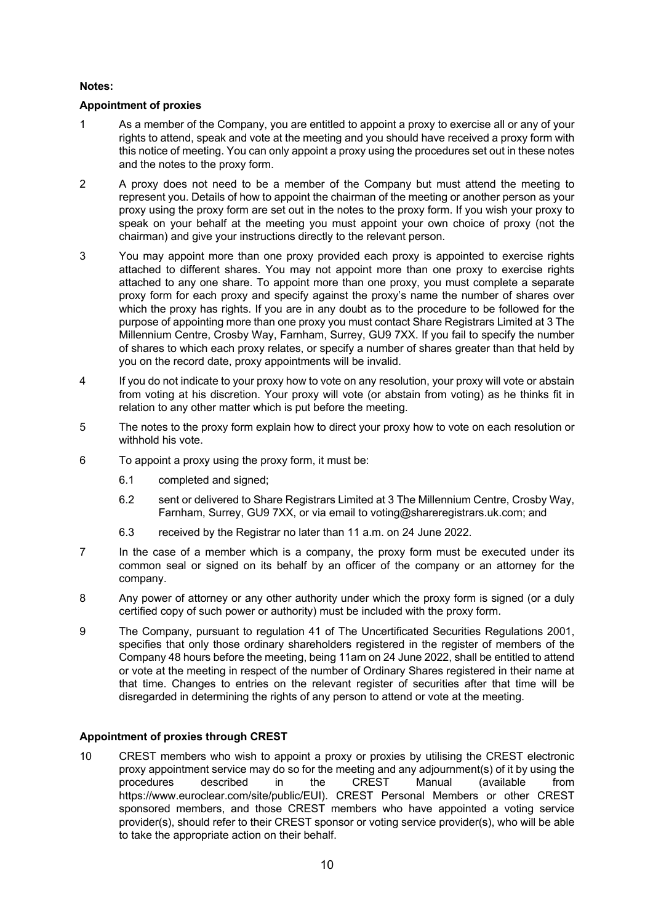#### **Notes:**

# **Appointment of proxies**

- 1 As a member of the Company, you are entitled to appoint a proxy to exercise all or any of your rights to attend, speak and vote at the meeting and you should have received a proxy form with this notice of meeting. You can only appoint a proxy using the procedures set out in these notes and the notes to the proxy form.
- 2 A proxy does not need to be a member of the Company but must attend the meeting to represent you. Details of how to appoint the chairman of the meeting or another person as your proxy using the proxy form are set out in the notes to the proxy form. If you wish your proxy to speak on your behalf at the meeting you must appoint your own choice of proxy (not the chairman) and give your instructions directly to the relevant person.
- 3 You may appoint more than one proxy provided each proxy is appointed to exercise rights attached to different shares. You may not appoint more than one proxy to exercise rights attached to any one share. To appoint more than one proxy, you must complete a separate proxy form for each proxy and specify against the proxy's name the number of shares over which the proxy has rights. If you are in any doubt as to the procedure to be followed for the purpose of appointing more than one proxy you must contact Share Registrars Limited at 3 The Millennium Centre, Crosby Way, Farnham, Surrey, GU9 7XX. If you fail to specify the number of shares to which each proxy relates, or specify a number of shares greater than that held by you on the record date, proxy appointments will be invalid.
- 4 If you do not indicate to your proxy how to vote on any resolution, your proxy will vote or abstain from voting at his discretion. Your proxy will vote (or abstain from voting) as he thinks fit in relation to any other matter which is put before the meeting.
- 5 The notes to the proxy form explain how to direct your proxy how to vote on each resolution or withhold his vote.
- 6 To appoint a proxy using the proxy form, it must be:
	- 6.1 completed and signed;
	- 6.2 sent or delivered to Share Registrars Limited at 3 The Millennium Centre, Crosby Way, Farnham, Surrey, GU9 7XX, or via email to voting@shareregistrars.uk.com; and
	- 6.3 received by the Registrar no later than 11 a.m. on 24 June 2022.
- 7 In the case of a member which is a company, the proxy form must be executed under its common seal or signed on its behalf by an officer of the company or an attorney for the company.
- 8 Any power of attorney or any other authority under which the proxy form is signed (or a duly certified copy of such power or authority) must be included with the proxy form.
- 9 The Company, pursuant to regulation 41 of The Uncertificated Securities Regulations 2001, specifies that only those ordinary shareholders registered in the register of members of the Company 48 hours before the meeting, being 11am on 24 June 2022, shall be entitled to attend or vote at the meeting in respect of the number of Ordinary Shares registered in their name at that time. Changes to entries on the relevant register of securities after that time will be disregarded in determining the rights of any person to attend or vote at the meeting.

# **Appointment of proxies through CREST**

10 CREST members who wish to appoint a proxy or proxies by utilising the CREST electronic proxy appointment service may do so for the meeting and any adjournment(s) of it by using the procedures described in the CREST Manual (available from https://www.euroclear.com/site/public/EUI). CREST Personal Members or other CREST sponsored members, and those CREST members who have appointed a voting service provider(s), should refer to their CREST sponsor or voting service provider(s), who will be able to take the appropriate action on their behalf.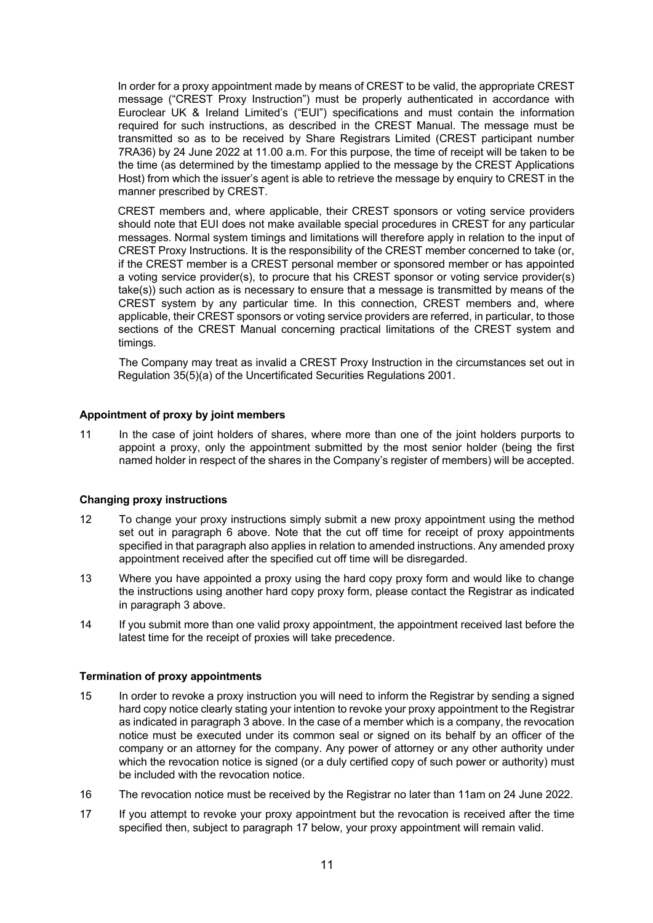In order for a proxy appointment made by means of CREST to be valid, the appropriate CREST message ("CREST Proxy Instruction") must be properly authenticated in accordance with Euroclear UK & Ireland Limited's ("EUI") specifications and must contain the information required for such instructions, as described in the CREST Manual. The message must be transmitted so as to be received by Share Registrars Limited (CREST participant number 7RA36) by 24 June 2022 at 11.00 a.m. For this purpose, the time of receipt will be taken to be the time (as determined by the timestamp applied to the message by the CREST Applications Host) from which the issuer's agent is able to retrieve the message by enquiry to CREST in the manner prescribed by CREST.

CREST members and, where applicable, their CREST sponsors or voting service providers should note that EUI does not make available special procedures in CREST for any particular messages. Normal system timings and limitations will therefore apply in relation to the input of CREST Proxy Instructions. It is the responsibility of the CREST member concerned to take (or, if the CREST member is a CREST personal member or sponsored member or has appointed a voting service provider(s), to procure that his CREST sponsor or voting service provider(s) take(s)) such action as is necessary to ensure that a message is transmitted by means of the CREST system by any particular time. In this connection, CREST members and, where applicable, their CREST sponsors or voting service providers are referred, in particular, to those sections of the CREST Manual concerning practical limitations of the CREST system and timings.

The Company may treat as invalid a CREST Proxy Instruction in the circumstances set out in Regulation 35(5)(a) of the Uncertificated Securities Regulations 2001.

#### **Appointment of proxy by joint members**

11 In the case of joint holders of shares, where more than one of the joint holders purports to appoint a proxy, only the appointment submitted by the most senior holder (being the first named holder in respect of the shares in the Company's register of members) will be accepted.

#### **Changing proxy instructions**

- 12 To change your proxy instructions simply submit a new proxy appointment using the method set out in paragraph 6 above. Note that the cut off time for receipt of proxy appointments specified in that paragraph also applies in relation to amended instructions. Any amended proxy appointment received after the specified cut off time will be disregarded.
- 13 Where you have appointed a proxy using the hard copy proxy form and would like to change the instructions using another hard copy proxy form, please contact the Registrar as indicated in paragraph 3 above.
- 14 If you submit more than one valid proxy appointment, the appointment received last before the latest time for the receipt of proxies will take precedence.

#### **Termination of proxy appointments**

- 15 In order to revoke a proxy instruction you will need to inform the Registrar by sending a signed hard copy notice clearly stating your intention to revoke your proxy appointment to the Registrar as indicated in paragraph 3 above. In the case of a member which is a company, the revocation notice must be executed under its common seal or signed on its behalf by an officer of the company or an attorney for the company. Any power of attorney or any other authority under which the revocation notice is signed (or a duly certified copy of such power or authority) must be included with the revocation notice.
- 16 The revocation notice must be received by the Registrar no later than 11am on 24 June 2022.
- 17 If you attempt to revoke your proxy appointment but the revocation is received after the time specified then, subject to paragraph 17 below, your proxy appointment will remain valid.